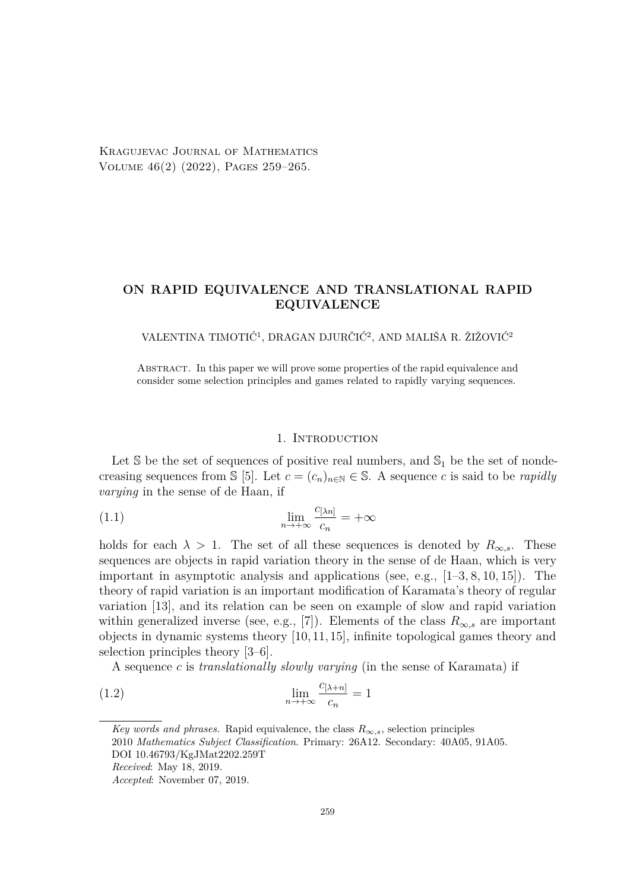Kragujevac Journal of Mathematics Volume 46(2) (2022), Pages 259–265.

# **ON RAPID EQUIVALENCE AND TRANSLATIONAL RAPID EQUIVALENCE**

## VALENTINA TIMOTIĆ<sup>1</sup> , DRAGAN DJURČIĆ<sup>2</sup> , AND MALIŠA R. ŽIŽOVIĆ<sup>2</sup>

Abstract. In this paper we will prove some properties of the rapid equivalence and consider some selection principles and games related to rapidly varying sequences.

### <span id="page-0-0"></span>1. INTRODUCTION

Let  $\mathbb S$  be the set of sequences of positive real numbers, and  $\mathbb S_1$  be the set of nondecreasing sequences from  $\{5\}$ . Let  $c = (c_n)_{n \in \mathbb{N}} \in \mathbb{S}$ . A sequence *c* is said to be *rapidly varying* in the sense of de Haan, if

(1.1) 
$$
\lim_{n \to +\infty} \frac{c_{[\lambda n]}}{c_n} = +\infty
$$

holds for each  $\lambda > 1$ . The set of all these sequences is denoted by  $R_{\infty,s}$ . These sequences are objects in rapid variation theory in the sense of de Haan, which is very important in asymptotic analysis and applications (see, e.g., [\[1–](#page-6-1)[3,](#page-6-2) [8,](#page-6-3) [10,](#page-6-4) [15\]](#page-6-5)). The theory of rapid variation is an important modification of Karamata's theory of regular variation [\[13\]](#page-6-6), and its relation can be seen on example of slow and rapid variation within generalized inverse (see, e.g., [\[7\]](#page-6-7)). Elements of the class  $R_{\infty,s}$  are important objects in dynamic systems theory [\[10,](#page-6-4) [11,](#page-6-8) [15\]](#page-6-5), infinite topological games theory and selection principles theory [\[3–](#page-6-2)[6\]](#page-6-9).

A sequence *c* is *translationally slowly varying* (in the sense of Karamata) if

(1.2) 
$$
\lim_{n \to +\infty} \frac{c_{[\lambda+n]}}{c_n} = 1
$$

*Received*: May 18, 2019.

*Key words and phrases.* Rapid equivalence, the class  $R_{\infty,s}$ , selection principles 2010 *Mathematics Subject Classification*. Primary: 26A12. Secondary: 40A05, 91A05. DOI 10.46793/KgJMat2202.259T

*Accepted*: November 07, 2019.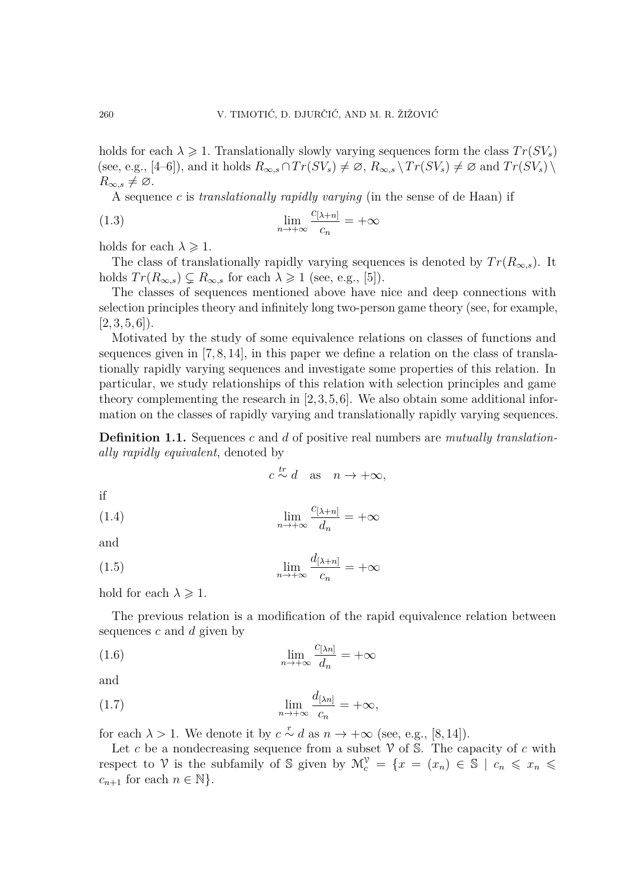holds for each  $\lambda \geq 1$ . Translationally slowly varying sequences form the class  $Tr(SV_s)$ (see, e.g.,  $[4-6]$  $[4-6]$ ), and it holds  $R_{\infty,s} \cap Tr(SV_s) \neq \emptyset$ ,  $R_{\infty,s} \setminus Tr(SV_s) \neq \emptyset$  and  $Tr(SV_s) \setminus$  $R_{\infty,s}\neq\varnothing$ .

A sequence *c* is *translationally rapidly varying* (in the sense of de Haan) if

(1.3) 
$$
\lim_{n \to +\infty} \frac{c_{[\lambda+n]}}{c_n} = +\infty
$$

holds for each  $\lambda \geqslant 1$ .

The class of translationally rapidly varying sequences is denoted by  $Tr(R_{\infty,s})$ . It holds  $Tr(R_{\infty,s}) \subsetneq R_{\infty,s}$  for each  $\lambda \geq 1$  (see, e.g., [\[5\]](#page-6-0)).

The classes of sequences mentioned above have nice and deep connections with selection principles theory and infinitely long two-person game theory (see, for example,  $[2, 3, 5, 6]$  $[2, 3, 5, 6]$  $[2, 3, 5, 6]$  $[2, 3, 5, 6]$ .

Motivated by the study of some equivalence relations on classes of functions and sequences given in  $[7, 8, 14]$  $[7, 8, 14]$  $[7, 8, 14]$ , in this paper we define a relation on the class of translationally rapidly varying sequences and investigate some properties of this relation. In particular, we study relationships of this relation with selection principles and game theory complementing the research in [\[2,](#page-6-11)[3,](#page-6-2)[5,](#page-6-0)[6\]](#page-6-9). We also obtain some additional information on the classes of rapidly varying and translationally rapidly varying sequences.

**Definition 1.1.** Sequences *c* and *d* of positive real numbers are *mutually translationally rapidly equivalent*, denoted by

$$
c \stackrel{tr}{\sim} d
$$
 as  $n \to +\infty$ ,

if

(1.4) 
$$
\lim_{n \to +\infty} \frac{c_{[\lambda+n]}}{d_n} = +\infty
$$

and

(1.5) 
$$
\lim_{n \to +\infty} \frac{d_{[\lambda+n]}}{c_n} = +\infty
$$

hold for each  $\lambda \geqslant 1$ .

The previous relation is a modification of the rapid equivalence relation between sequences *c* and *d* given by

(1.6) 
$$
\lim_{n \to +\infty} \frac{c_{[\lambda n]}}{d_n} = +\infty
$$

and

(1.7) 
$$
\lim_{n \to +\infty} \frac{d_{[\lambda n]}}{c_n} = +\infty,
$$

for each  $\lambda > 1$ . We denote it by  $c \sim d$  as  $n \to +\infty$  (see, e.g., [\[8,](#page-6-3)14]).

Let c be a nondecreasing sequence from a subset  $\mathcal V$  of  $\mathbb S$ . The capacity of c with respect to V is the subfamily of S given by  $\mathcal{M}_c^{\mathcal{V}} = \{x = (x_n) \in \mathbb{S} \mid c_n \leq x_n \leq$  $c_{n+1}$  for each  $n \in \mathbb{N}$ .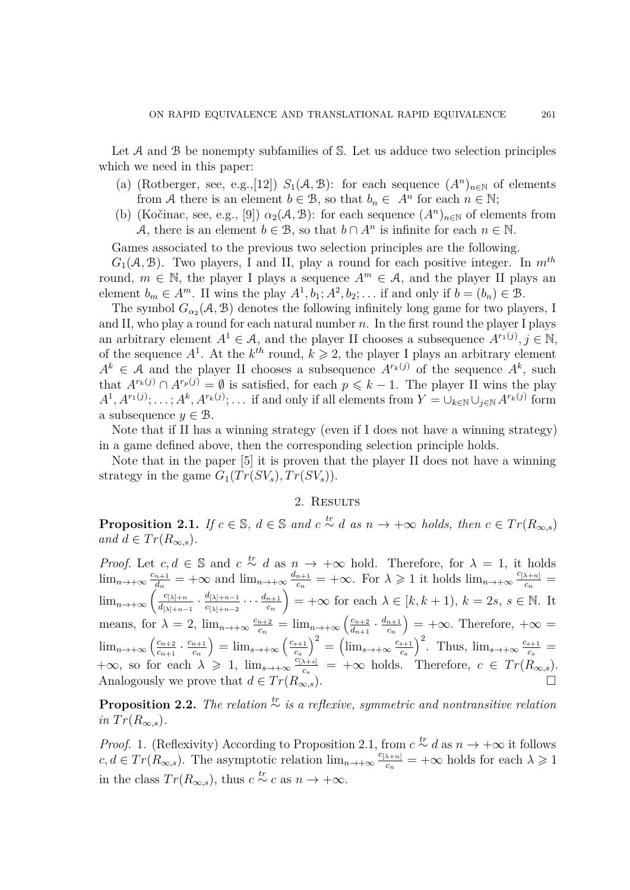Let  $A$  and  $B$  be nonempty subfamilies of  $S$ . Let us adduce two selection principles which we need in this paper:

- (a) (Rotberger, see, e.g.,[\[12\]](#page-6-13))  $S_1(A, B)$ : for each sequence  $(A^n)_{n \in \mathbb{N}}$  of elements from A there is an element  $b \in \mathcal{B}$ , so that  $b_n \in A^n$  for each  $n \in \mathbb{N}$ ;
- (b) (Kočinac, see, e.g., [\[9\]](#page-6-14))  $\alpha_2(\mathcal{A}, \mathcal{B})$ : for each sequence  $(A^n)_{n \in \mathbb{N}}$  of elements from A, there is an element  $b \in \mathcal{B}$ , so that  $b \cap A^n$  is infinite for each  $n \in \mathbb{N}$ .

Games associated to the previous two selection principles are the following.

 $G_1(\mathcal{A}, \mathcal{B})$ . Two players, I and II, play a round for each positive integer. In  $m^{th}$ round,  $m \in \mathbb{N}$ , the player I plays a sequence  $A^m \in \mathcal{A}$ , and the player II plays an element  $b_m \in A^m$ . II wins the play  $A^1, b_1; A^2, b_2; \ldots$  if and only if  $b = (b_n) \in \mathcal{B}$ .

The symbol  $G_{\alpha_2}(\mathcal{A}, \mathcal{B})$  denotes the following infinitely long game for two players, I and II, who play a round for each natural number *n*. In the first round the player I plays an arbitrary element  $A^1 \in \mathcal{A}$ , and the player II chooses a subsequence  $A^{r_1(j)}$ ,  $j \in \mathbb{N}$ , of the sequence  $A^1$ . At the  $k^{th}$  round,  $k \geq 2$ , the player I plays an arbitrary element  $A^k \in \mathcal{A}$  and the player II chooses a subsequence  $A^{r_k(j)}$  of the sequence  $A^k$ , such that  $A^{r_k(j)} \cap A^{r_p(j)} = \emptyset$  is satisfied, for each  $p \leq k-1$ . The player II wins the play  $A^1, A^{r_1(j)}; \ldots; A^k, A^{r_k(j)}; \ldots$  if and only if all elements from  $Y = \bigcup_{k \in \mathbb{N}} \bigcup_{j \in \mathbb{N}} A^{r_k(j)}$  form a subsequence  $y \in \mathcal{B}$ .

Note that if II has a winning strategy (even if I does not have a winning strategy) in a game defined above, then the corresponding selection principle holds.

Note that in the paper [\[5\]](#page-6-0) it is proven that the player II does not have a winning strategy in the game  $G_1(Tr(SV_s), Tr(SV_s)).$ 

## 2. RESULTS

<span id="page-2-0"></span>**Proposition 2.1.** *If*  $c \in \mathbb{S}$ ,  $d \in \mathbb{S}$  *and*  $c \stackrel{tr}{\sim} d$  *as*  $n \to +\infty$  *holds, then*  $c \in Tr(R_{\infty,s})$  $and d \in Tr(R_{\infty, s})$ .

*Proof.* Let  $c, d \in \mathbb{S}$  and  $c \stackrel{tr}{\sim} d$  as  $n \to +\infty$  hold. Therefore, for  $\lambda = 1$ , it holds  $\lim_{n\to+\infty}\frac{c_{n+1}}{d_n}$  $\frac{d_{n+1}}{d_n}$  =  $+\infty$  and  $\lim_{n\to+\infty}\frac{d_{n+1}}{c_n}$  $\frac{n+1}{c_n} = +\infty$ . For  $\lambda \geq 1$  it holds  $\lim_{n \to +\infty} \frac{c_{[\lambda+n]}}{c_n}$  $\frac{\lambda+n]}{c_n} =$  $\lim_{n\to+\infty}\left(\frac{c_{[\lambda]+n}}{d_{\lambda+\lambda}}\right)$  $\frac{c_{[\lambda]+n}}{d_{[\lambda]+n-1}}\cdot\frac{d_{[\lambda]+n-1}}{c_{[\lambda]+n-2}}$  $\frac{d_{[\lambda]+n-1}}{c_{[\lambda]+n-2}} \cdots \frac{d_{n+1}}{c_n}$ *cn*  $\left( \begin{array}{c} k, k+1, k \end{array} \right) = +\infty$  for each  $\lambda \in [k, k+1), k = 2s, s \in \mathbb{N}$ . It means, for  $\lambda = 2$ ,  $\lim_{n \to +\infty} \frac{c_{n+2}}{c_n}$  $\frac{n+2}{c_n} = \lim_{n \to +\infty} \left( \frac{c_{n+2}}{d_{n+1}} \right)$  $\frac{c_{n+2}}{d_{n+1}} \cdot \frac{d_{n+1}}{c_n}$ *cn*  $= +\infty$ . Therefore,  $+\infty$  =  $\lim_{n\to+\infty}$   $\left(\frac{c_{n+2}}{c_{n+1}}\right)$  $\frac{c_{n+2}}{c_{n+1}} \cdot \frac{c_{n+1}}{c_n}$ *cn*  $=\lim_{s\to+\infty}\left(\frac{c_{s+1}}{c_s}\right)$ *cs*  $\int^{2} = \left(\lim_{s\to+\infty}\frac{c_{s+1}}{c_s}\right)$ *cs*  $\int_{c}^{2}$ . Thus,  $\lim_{s\to+\infty}\frac{c_{s+1}}{c_{s}}$  $\frac{s+1}{c_s} =$  $+\infty$ , so for each  $\lambda \geq 1$ ,  $\lim_{s\to+\infty} \frac{c_{[\lambda+s]}}{c_s}$  $\frac{\lambda+s}{c_s}$  = +∞ holds. Therefore, *c* ∈ *Tr*( $R_{\infty,s}$ ). Analogously we prove that  $d \in Tr(R_{\infty,s}^{\circ})$ .

**Proposition 2.2.** *The relation tr*∼ *is a reflexive, symmetric and nontransitive relation*  $in Tr(R_{\infty,s}).$ 

*Proof.* 1. (Reflexivity) According to Proposition [2.1,](#page-2-0) from  $c \stackrel{tr}{\sim} d$  as  $n \to +\infty$  it follows  $c, d \in Tr(R_{\infty,s})$ . The asymptotic relation  $\lim_{n\to+\infty} c^{(2k+n)}$  $\frac{\lambda+n}{c_n}$  =  $+\infty$  holds for each  $\lambda \geq 1$ in the class  $Tr(R_{\infty,s})$ , thus  $c \stackrel{tr}{\sim} c$  as  $n \to +\infty$ .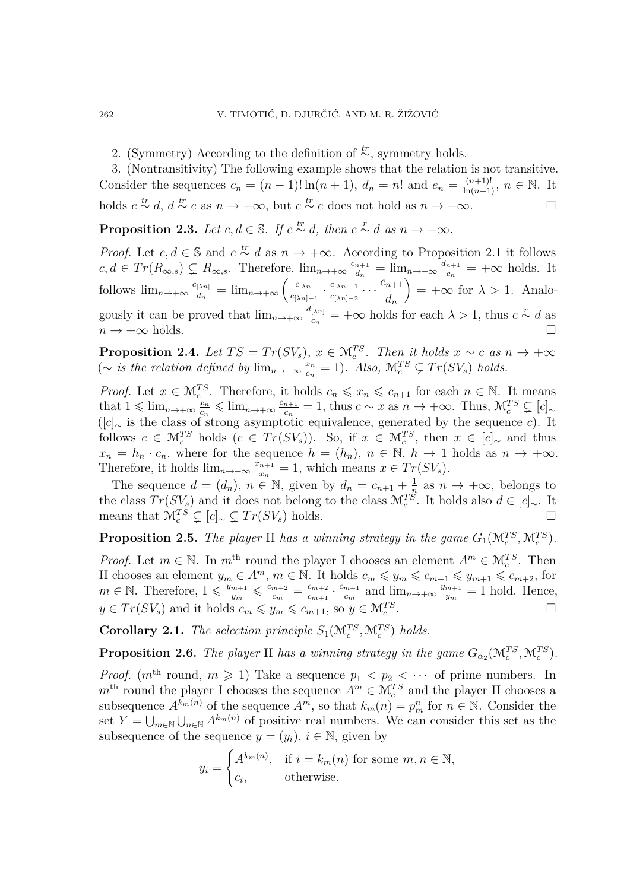2. (Symmetry) According to the definition of <sup>*tr*</sup>, symmetry holds.

3. (Nontransitivity) The following example shows that the relation is not transitive. Consider the sequences  $c_n = (n-1)! \ln(n+1)$ ,  $d_n = n!$  and  $e_n = \frac{(n+1)!}{\ln(n+1)}$ ,  $n \in \mathbb{N}$ . It holds  $c \stackrel{tr}{\sim} d$ ,  $d \stackrel{tr}{\sim} e$  as  $n \to +\infty$ , but  $c \stackrel{tr}{\sim} e$  does not hold as  $n \to +\infty$ . □

**Proposition 2.3.** Let  $c, d \in \mathbb{S}$ . If  $c \stackrel{tr}{\sim} d$ , then  $c \stackrel{r}{\sim} d$  as  $n \to +\infty$ .

*Proof.* Let  $c, d \in \mathbb{S}$  and  $c \stackrel{tr}{\sim} d$  as  $n \to +\infty$ . According to Proposition [2.1](#page-2-0) it follows  $c, d \in Tr(R_{\infty,s}) \subsetneq R_{\infty,s}$ . Therefore,  $\lim_{n \to +\infty} \frac{c_{n+1}}{d_n}$  $\frac{n+1}{d_n} = \lim_{n \to +\infty} \frac{d_{n+1}}{c_n}$  $\frac{n+1}{c_n}$  =  $+\infty$  holds. It follows  $\lim_{n\to+\infty}\frac{c_{[\lambda n]}}{d_n}$  $\frac{[\lambda n]}{d_n} = \lim_{n \to +\infty} \left( \frac{c_{[\lambda n]}}{c_{[\lambda n] - 1}} \right)$  $\frac{c_{[\lambda n]}}{c_{[\lambda n]-1}} \cdot \frac{c_{[\lambda n]-1}}{c_{[\lambda n]-2}}$  $\frac{c_{[\lambda n]-1}}{c_{[\lambda n]-2}} \cdots \frac{c_{n+1}}{d_n}$ *dn*  $= +\infty$  for  $\lambda > 1$ . Analogously it can be proved that  $\lim_{n\to+\infty}\frac{d_{\{\lambda n\}}}{C_n}$  $\frac{[{\lambda}n]}{c_n}$  =  $+\infty$  holds for each  $\lambda > 1$ , thus *c*  $\sim$  *d* as  $n \to +\infty$  holds.

**Proposition 2.4.** *Let*  $TS = Tr(SV_s)$ ,  $x \in \mathcal{M}_c^{TS}$ . *Then it holds*  $x \sim c$  *as*  $n \to +\infty$ (∼ *is the relation defined by*  $\lim_{n\to+\infty}\frac{x_n}{c_n}$  $\frac{x_n}{c_n} = 1$ ). Also,  $\mathcal{M}_c^{TS} \subsetneq Tr(SV_s)$  *holds.* 

*Proof.* Let  $x \in M_c^{TS}$ . Therefore, it holds  $c_n \leq x_n \leq c_{n+1}$  for each  $n \in \mathbb{N}$ . It means that  $1 \leqslant \lim_{n \to +\infty} \frac{x_n}{c_n}$  $rac{x_n}{c_n} \leqslant \lim_{n \to +\infty} \frac{c_{n+1}}{c_n}$  $\frac{n+1}{c_n} = 1$ , thus  $c \sim x$  as  $n \to +\infty$ . Thus,  $\mathcal{M}_c^{TS} \subsetneq [c]_{\sim}$ ([*c*]<sup>∼</sup> is the class of strong asymptotic equivalence, generated by the sequence *c*). It follows  $c \in \mathcal{M}_c^{TS}$  holds  $(c \in Tr(SV_s))$ . So, if  $x \in \mathcal{M}_c^{TS}$ , then  $x \in [c]_{\sim}$  and thus  $x_n = h_n \cdot c_n$ , where for the sequence  $h = (h_n)$ ,  $n \in \mathbb{N}$ ,  $h \to 1$  holds as  $n \to +\infty$ . Therefore, it holds  $\lim_{n\to+\infty}\frac{x_{n+1}}{x_n}$  $\frac{n+1}{x_n} = 1$ , which means  $x \in Tr(SV_s)$ .

The sequence  $d = (d_n)$ ,  $n \in \mathbb{N}$ , given by  $d_n = c_{n+1} + \frac{1}{n}$  $\frac{1}{n}$  as  $n \to +\infty$ , belongs to the class  $Tr(SV_s)$  and it does not belong to the class  $\mathcal{M}_c^{TS}$ . It holds also  $d \in [c]_{\sim}$ . It means that  $\mathcal{M}_c^{TS}$  ⊊  $[c]_{\sim}$  ⊊  $Tr(SV_s)$  holds. □

<span id="page-3-0"></span>**Proposition 2.5.** *The player* II *has a winning strategy in the game*  $G_1(\mathcal{M}_c^{TS}, \mathcal{M}_c^{TS})$ *.* 

*Proof.* Let  $m \in \mathbb{N}$ . In  $m^{\text{th}}$  round the player I chooses an element  $A^m \in \mathcal{M}_c^{TS}$ . Then II chooses an element  $y_m \in A^m$ ,  $m \in \mathbb{N}$ . It holds  $c_m \leqslant y_m \leqslant c_{m+1} \leqslant y_{m+1} \leqslant c_{m+2}$ , for  $m \in \mathbb{N}$ . Therefore,  $1 \leqslant \frac{y_{m+1}}{y}$  $\frac{m+1}{y_m} \leqslant \frac{c_{m+2}}{c_m}$  $\frac{m+2}{c_m} = \frac{c_{m+2}}{c_{m+1}}$  $\frac{c_{m+2}}{c_{m+1}} \cdot \frac{c_{m+1}}{c_m}$  $\frac{m+1}{c_m}$  and  $\lim_{n \to +\infty} \frac{y_{m+1}}{y_m}$  $\frac{m+1}{y_m} = 1$  hold. Hence,  $y \in Tr(SV_s)$  and it holds  $c_m \leqslant y_m \leqslant c_{m+1}$ , so  $y \in \mathcal{M}_c^{TS}$ .

<span id="page-3-2"></span>**Corollary 2.1.** *The selection principle*  $S_1(\mathcal{M}_c^{TS}, \mathcal{M}_c^{TS})$  *holds.* 

<span id="page-3-1"></span>**Proposition 2.6.** *The player* II *has a winning strategy in the game*  $G_{\alpha_2}(\mathcal{M}_c^{TS}, \mathcal{M}_c^{TS})$ *.* 

*Proof.*  $(m<sup>th</sup>$  round,  $m \ge 1$ ) Take a sequence  $p_1 < p_2 < \cdots$  of prime numbers. In  $m<sup>th</sup>$  round the player I chooses the sequence  $A<sup>m</sup> \in \mathcal{M}<sup>TS</sup><sub>c</sub>$  and the player II chooses a subsequence  $A^{k_m(n)}$  of the sequence  $A^m$ , so that  $k_m(n) = p_m^n$  for  $n \in \mathbb{N}$ . Consider the set  $Y = \bigcup_{m \in \mathbb{N}} \bigcup_{n \in \mathbb{N}} A^{k_m(n)}$  of positive real numbers. We can consider this set as the subsequence of the sequence  $y = (y_i)$ ,  $i \in \mathbb{N}$ , given by

$$
y_i = \begin{cases} A^{k_m(n)}, & \text{if } i = k_m(n) \text{ for some } m, n \in \mathbb{N}, \\ c_i, & \text{otherwise.} \end{cases}
$$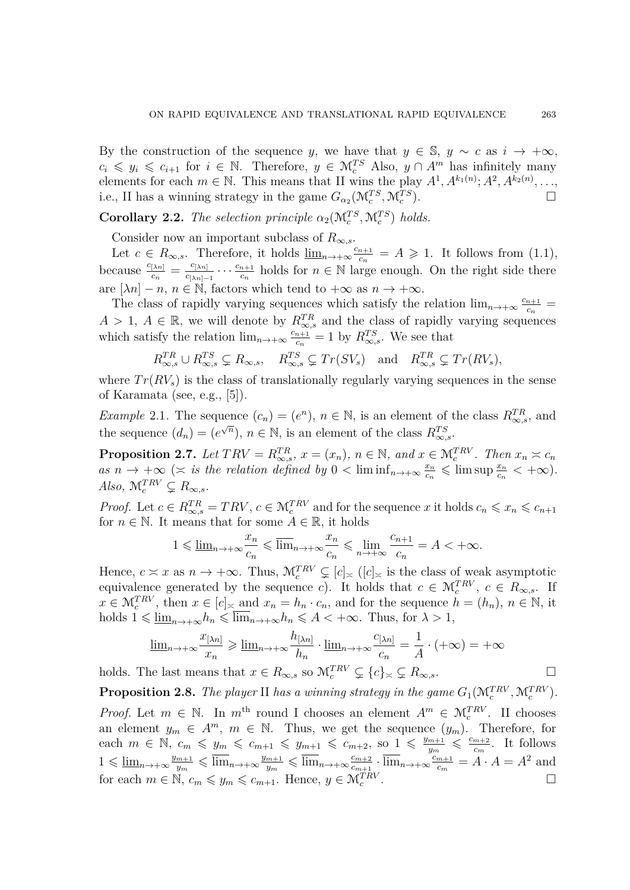By the construction of the sequence *y*, we have that  $y \in \mathbb{S}$ ,  $y \sim c$  as  $i \to +\infty$ ,  $c_i \leq y_i \leq c_{i+1}$  for  $i \in \mathbb{N}$ . Therefore,  $y \in \mathcal{M}_c^{TS}$  Also,  $y \cap A^m$  has infinitely many elements for each  $m \in \mathbb{N}$ . This means that II wins the play  $A^1, A^{k_1(n)}; A^2, A^{k_2(n)}, \ldots$ i.e., II has a winning strategy in the game  $G_{\alpha_2}(\mathcal{M}_c^{TS}, \mathcal{M}_c^{TS})$ ).  $\Box$ 

<span id="page-4-1"></span>**Corollary 2.2.** *The selection principle*  $\alpha_2(\mathcal{M}_c^{TS}, \mathcal{M}_c^{TS})$  *holds.* 

Consider now an important subclass of  $R_{\infty,s}$ .

Let  $c \in R_{\infty,s}$ . Therefore, it holds  $\underline{\lim}_{n\to+\infty} \frac{c_{n+1}}{c_n}$  $\frac{n+1}{c_n} = A \geqslant 1$ . It follows from [\(1.1\)](#page-0-0), because  $\frac{c_{[\lambda n]}}{c_n} = \frac{c_{[\lambda n]}}{c_{[\lambda n]}}$  $\frac{c_{[\lambda n]}}{c_{[\lambda n]-1}} \cdots \frac{c_{n+1}}{c_n}$  $\frac{n+1}{c_n}$  holds for  $n \in \mathbb{N}$  large enough. On the right side there are  $[\lambda n] - n$ ,  $n \in \mathbb{N}$ , factors which tend to  $+\infty$  as  $n \to +\infty$ .

The class of rapidly varying sequences which satisfy the relation  $\lim_{n\to+\infty} \frac{c_{n+1}}{c_n}$  $\frac{n+1}{c_n}$  =  $A > 1, A \in \mathbb{R}$ , we will denote by  $R_{\infty,s}^{TR}$  and the class of rapidly varying sequences which satisfy the relation  $\lim_{n\to+\infty} \frac{c_{n+1}}{c_n}$  $\frac{n+1}{c_n} = 1$  by  $R_{\infty,s}^{TS}$ . We see that

$$
R_{\infty,s}^{TR} \cup R_{\infty,s}^{TS} \subsetneq R_{\infty,s}, \quad R_{\infty,s}^{TS} \subsetneq Tr(SV_s) \text{ and } R_{\infty,s}^{TR} \subsetneq Tr(RV_s),
$$

where  $Tr(RV_s)$  is the class of translationally regularly varying sequences in the sense of Karamata (see, e.g., [\[5\]](#page-6-0)).

*Example* 2.1. The sequence  $(c_n) = (e^n)$ ,  $n \in \mathbb{N}$ , is an element of the class  $R_{\infty,s}^{TR}$ , and the sequence  $(d_n) = (e^{\sqrt{n}}), n \in \mathbb{N}$ , is an element of the class  $R_{\infty,s}^{TS}$ .

**Proposition 2.7.** Let  $TRV = R_{\infty,s}^{TR}$ ,  $x = (x_n)$ ,  $n \in \mathbb{N}$ , and  $x \in \mathcal{M}_c^{TRV}$ . Then  $x_n \asymp c_n$  $as n \to +\infty$  ( $\asymp$  *is the relation defined by*  $0 < \liminf_{n \to +\infty} \frac{x_n}{c_n}$  $\frac{x_n}{c_n} \leqslant$  lim sup  $\frac{x_n}{c_n} < +\infty$ ).  $Also, \mathcal{M}_c^{TRV} \subsetneq R_{\infty,s}.$ 

*Proof.* Let  $c \in R_{\infty,s}^{TR} = TRV, c \in M_c^{TRV}$  and for the sequence *x* it holds  $c_n \leqslant x_n \leqslant c_{n+1}$ for  $n \in \mathbb{N}$ . It means that for some  $A \in \mathbb{R}$ , it holds

$$
1 \leqslant \underline{\lim}_{n \to +\infty} \frac{x_n}{c_n} \leqslant \overline{\lim}_{n \to +\infty} \frac{x_n}{c_n} \leqslant \underline{\lim}_{n \to +\infty} \frac{c_{n+1}}{c_n} = A < +\infty.
$$

Hence,  $c \approx x$  as  $n \to +\infty$ . Thus,  $\mathcal{M}_c^{TRV} \subsetneq [c]_{\simeq}$  ( $[c]_{\simeq}$  is the class of weak asymptotic equivalence generated by the sequence *c*). It holds that  $c \in M_c^{TRV}$ ,  $c \in R_{\infty,s}$ . If  $x \in \mathcal{M}_c^{TRV}$ , then  $x \in [c]_{\succeq}$  and  $x_n = h_n \cdot c_n$ , and for the sequence  $h = (h_n)$ ,  $n \in \mathbb{N}$ , it holds  $1 \leq \underline{\lim}_{n \to +\infty} h_n \leq \overline{\lim}_{n \to +\infty} h_n \leq A < +\infty$ . Thus, for  $\lambda > 1$ ,

$$
\underline{\lim}_{n \to +\infty} \frac{x_{\lfloor \lambda n \rfloor}}{x_n} \ge \underline{\lim}_{n \to +\infty} \frac{h_{\lfloor \lambda n \rfloor}}{h_n} \cdot \underline{\lim}_{n \to +\infty} \frac{c_{\lfloor \lambda n \rfloor}}{c_n} = \frac{1}{A} \cdot (+\infty) = +\infty
$$

holds. The last means that  $x \in R_{\infty,s}$  so  $\mathcal{M}_c^{TRV} \subsetneq \{c\}_{\approx} \subsetneq R_{\infty,s}$ .

<span id="page-4-0"></span>**Proposition 2.8.** *The player* II *has a winning strategy in the game*  $G_1(\mathcal{M}_c^{TRV}, \mathcal{M}_c^{TRV})$ *. Proof.* Let  $m \in \mathbb{N}$ . In  $m^{\text{th}}$  round I chooses an element  $A^m \in \mathcal{M}_c^{TRV}$ . II chooses an element  $y_m \in A^m$ ,  $m \in \mathbb{N}$ . Thus, we get the sequence  $(y_m)$ . Therefore, for each  $m \in \mathbb{N}, c_m \leq y_m \leq c_{m+1} \leq y_{m+1} \leq c_{m+2}, \text{ so } 1 \leq \frac{y_{m+1}}{y_m}$  $\frac{m+1}{y_m} \leqslant \frac{c_{m+2}}{c_m}$  $\frac{m+2}{c_m}$ . It follows  $1 \leqslant \underline{\lim}_{n \to +\infty} \frac{y_{m+1}}{y_m}$  $\frac{m+1}{y_m} \leqslant \overline{\lim}_{n \to +\infty} \frac{y_{m+1}}{y_m}$  $\frac{m+1}{y_m} \leqslant \overline{\lim}_{n \to +\infty} \frac{c_{m+2}}{c_{m+1}}$  $\frac{c_{m+2}}{c_{m+1}} \cdot \overline{\lim}_{n \to +\infty} \frac{c_{m+1}}{c_m}$  $\frac{m+1}{c_m} = A \cdot A = A^2$  and for each  $m \in \mathbb{N}$ ,  $c_m \leq y_m \leq c_{m+1}$ . Hence,  $y \in \mathcal{M}_c^{TRV}$ .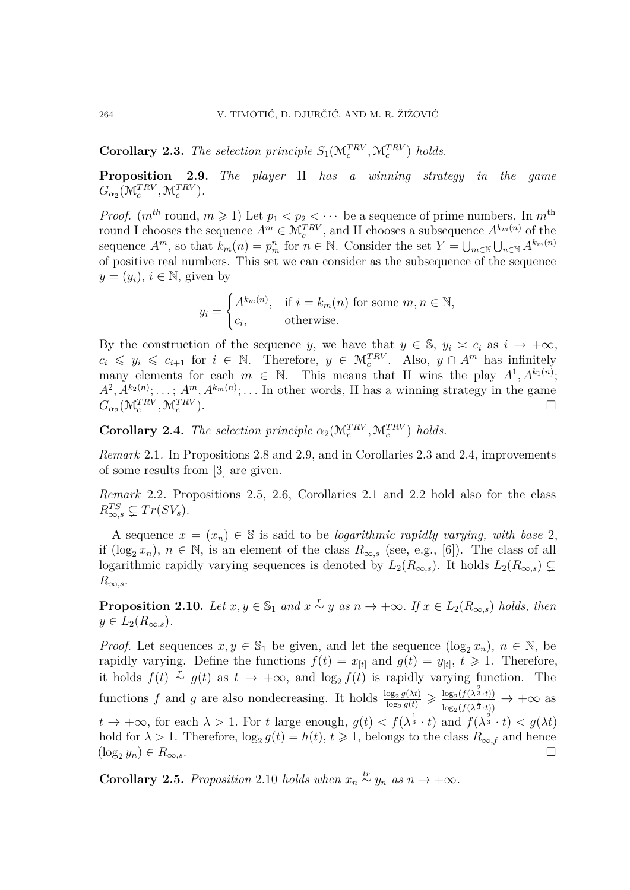<span id="page-5-1"></span>**Corollary 2.3.** *The selection principle*  $S_1(\mathcal{M}_c^{TRV}, \mathcal{M}_c^{TRV})$  *holds.* 

<span id="page-5-0"></span>**Proposition 2.9.** *The player* II *has a winning strategy in the game*  $G_{\alpha_2}(\mathcal{M}_c^{TRV}, \mathcal{M}_c^{TRV}).$ 

*Proof.*  $(m^{th}$  round,  $m \geq 1$ ) Let  $p_1 < p_2 < \cdots$  be a sequence of prime numbers. In  $m^{th}$ round I chooses the sequence  $A^m \in \mathcal{M}_c^{TRV}$ , and II chooses a subsequence  $A^{k_m(n)}$  of the sequence  $A^m$ , so that  $k_m(n) = p_m^n$  for  $n \in \mathbb{N}$ . Consider the set  $Y = \bigcup_{m \in \mathbb{N}} \bigcup_{n \in \mathbb{N}} A^{k_m(n)}$ of positive real numbers. This set we can consider as the subsequence of the sequence  $y = (y_i), i \in \mathbb{N}$ , given by

$$
y_i = \begin{cases} A^{k_m(n)}, & \text{if } i = k_m(n) \text{ for some } m, n \in \mathbb{N}, \\ c_i, & \text{otherwise.} \end{cases}
$$

By the construction of the sequence *y*, we have that  $y \in \mathbb{S}$ ,  $y_i \approx c_i$  as  $i \to +\infty$ ,  $c_i \leq y_i \leq c_{i+1}$  for  $i \in \mathbb{N}$ . Therefore,  $y \in \mathcal{M}_c^{TRV}$ . Also,  $y \cap A^m$  has infinitely many elements for each  $m \in \mathbb{N}$ . This means that II wins the play  $A^1, A^{k_1(n)}$ ;  $A^2, A^{k_2(n)}; \ldots; A^m, A^{k_m(n)}; \ldots$  In other words, II has a winning strategy in the game  $G_{\alpha_2}(\mathcal{M}_c^{TRV}, \mathcal{M}_c^{TRV})$ ).  $\Box$ 

<span id="page-5-2"></span>**Corollary 2.4.** *The selection principle*  $\alpha_2(\mathcal{M}_c^{TRV}, \mathcal{M}_c^{TRV})$  *holds.* 

*Remark* 2.1*.* In Propositions [2.8](#page-4-0) and [2.9,](#page-5-0) and in Corollaries [2.3](#page-5-1) and [2.4,](#page-5-2) improvements of some results from [\[3\]](#page-6-2) are given.

*Remark* 2.2*.* Propositions [2.5,](#page-3-0) [2.6,](#page-3-1) Corollaries [2.1](#page-3-2) and [2.2](#page-4-1) hold also for the class  $R_{\infty,s}^{TS} \subsetneq Tr(SV_s).$ 

A sequence  $x = (x_n) \in \mathbb{S}$  is said to be *logarithmic rapidly varying, with base* 2, if (log<sub>2</sub>  $x_n$ ),  $n \in \mathbb{N}$ , is an element of the class  $R_{\infty,s}$  (see, e.g., [\[6\]](#page-6-9)). The class of all logarithmic rapidly varying sequences is denoted by  $L_2(R_{\infty,s})$ . It holds  $L_2(R_{\infty,s}) \subsetneq$  $R_{\infty,s}$ .

<span id="page-5-3"></span>**Proposition 2.10.** *Let*  $x, y \in \mathbb{S}_1$  *and*  $x \stackrel{r}{\sim} y$  *as*  $n \to +\infty$ *. If*  $x \in L_2(R_{\infty,s})$  *holds, then*  $y \in L_2(R_{\infty,s})$ .

*Proof.* Let sequences  $x, y \in \mathbb{S}_1$  be given, and let the sequence  $(\log_2 x_n)$ ,  $n \in \mathbb{N}$ , be rapidly varying. Define the functions  $f(t) = x_{[t]}$  and  $g(t) = y_{[t]}$ ,  $t \ge 1$ . Therefore, it holds  $f(t) \stackrel{r}{\sim} g(t)$  as  $t \to +\infty$ , and  $\log_2 f(t)$  is rapidly varying function. The functions *f* and *g* are also nondecreasing. It holds  $\frac{\log_2 g(\lambda t)}{\log_2 g(t)}$  $\frac{\log_2 g(\lambda t)}{\log_2 g(t)} \geqslant \frac{\log_2(f(\lambda^{\frac{2}{3}} \cdot t))}{\log_2(f(\lambda^{\frac{1}{3}} \cdot t))}$  $\frac{\log_2(f(\lambda^3 \cdot t))}{\log_2(f(\lambda^{\frac{1}{3}} \cdot t))} \rightarrow +\infty$  as  $t \to +\infty$ , for each  $\lambda > 1$ . For *t* large enough,  $g(t) < f(\lambda^{\frac{1}{3}} \cdot t)$  and  $f(\lambda^{\frac{2}{3}} \cdot t) < g(\lambda t)$ hold for  $\lambda > 1$ . Therefore,  $\log_2 g(t) = h(t)$ ,  $t \geq 1$ , belongs to the class  $R_{\infty,f}$  and hence  $(\log_2 y_n) \in R_{\infty,s}$ .

**Corollary 2.5.** *Proposition* [2.10](#page-5-3) *holds when*  $x_n \stackrel{tr}{\sim} y_n$  *as*  $n \to +\infty$ *.*